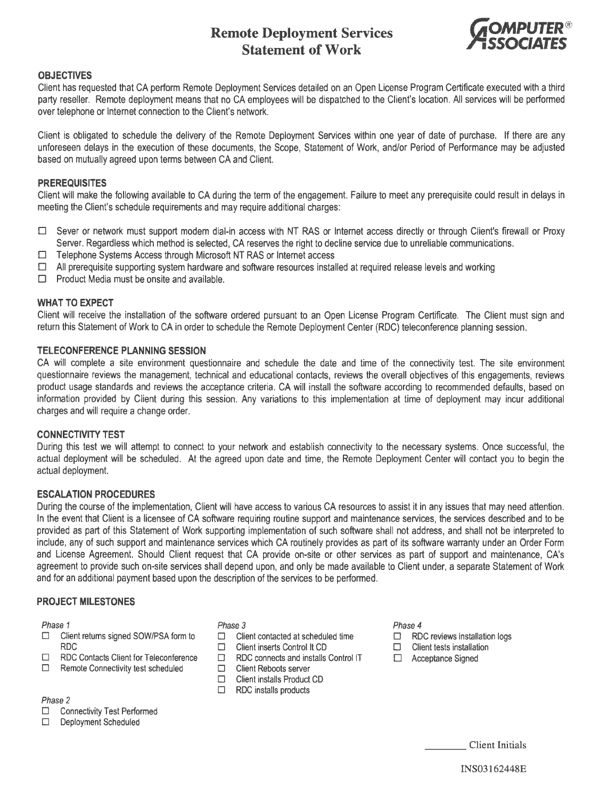# **Remote Deployment Services Statement of Work**



#### **OBJECTIVES**

Client has requested that CA perform Remote Deployment Services detailed on an Open License Program Certificate executed with a third party reseller. Remote deployment means that no CA employees will be dispatched to the Client's location. All services will be performed over telephone or Internet connection to the Client's network.

Client is obligated to schedule the delivery of the Remote Deployment Services within one year of date of purchase. If there are any unforeseen delays in the execution of these documents, the Scope, Statement of Work, and/or Period of Performance may be adjusted based on mutually agreed upon terms between CA and Client.

# **PREREQUISITES**

Client will make the following available to CA during the term of the engagement. Failure to meet any prerequisite could result in delays in meeting the Client's schedule requirements and may require additional charges:

- $\Box$  Sever or network must support modem dial-in access with NT RAS or Internet access directly or through Client's firewall or Proxy Server. Regardless which method is selected, CA reserves the right to decline service due to unreliable communications.
- □ Telephone Systems Access through Microsoft NT RAS or Internet access
- $\Box$  All prerequisite supporting system hardware and software resources installed at required release levels and working
- $\Box$  Product Media must be onsite and available.

# **WHAT TO EXPECT**

Client will receive the installation of the software ordered pursuant to an Open License Program Certificate. The Client must sign and return this Statement of Work to CA in order to schedule the Remote Deployment Center (RDC) teleconference planning session.

# **TELECONFERENCE PLANNING SESSION**

CA will complete a site environment questionnaire and schedule the date and time of the connectivity test. The site environment questionnaire reviews the management, technical and educational contacts, reviews the overall objectives of this engagements, reviews product usage standards and reviews the acceptance criteria. CA will install the software according to recommended defaults, based on information provided by Client during this session. Any variations to this implementation at time of deployment may incur additional charges and will require a change order.

# **CONNECTIVITY TEST**

During this test we will attempt to connect to your network and establish connectivity to the necessary systems. Once successful, the actual deployment will be scheduled. At the agreed upon date and time, the Remote Deployment Center will contact you to begin the actual deployment.

#### **ESCALATION PROCEDURES**

During the course of the implementation, Client will have access to various CA resources to assist it in any issues that may need attention. In the event that Client is a licensee of CA software requiring routine support and maintenance services, the services described and to be provided as part of this Statement of Work supporting implementation of such software shall not address, and shall not be interpreted to include, any of such support and maintenance services which CA routinely provides as part of its software warranty under an Order Form and License Agreement. Should Client request that CA provide on-site or other services as part of support and maintenance, CA's agreement to provide such on-site services shall depend upon, and only be made available to Client under, a separate Statement of Work and for an additional payment based upon the description of the services to be performed.

#### **PROJECT MILESTONES**

Phase 1

- D Client returns signed SOW/PSA form to RDC
- D RDC Contacts Client for Teleconference
- $\Box$  Remote Connectivity test scheduled

Phase 2

- □ Connectivity Test Performed
- Deployment Scheduled

Phase 3

- □ Client contacted at scheduled time
- $\Box$  Client inserts Control It CD
- D RDC connects and installs Control IT
- D Client Reboots server
- □ Client installs Product CD
- $\Box$  RDC installs products

#### Phase 4

- $\Box$  RDC reviews installation logs
- $\square$  Client tests installation
- D Acceptance Signed